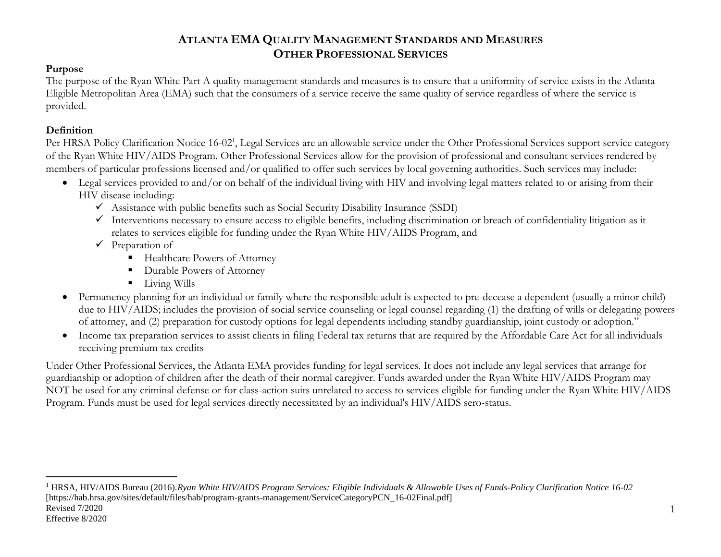### **Purpose**

The purpose of the Ryan White Part A quality management standards and measures is to ensure that a uniformity of service exists in the Atlanta Eligible Metropolitan Area (EMA) such that the consumers of a service receive the same quality of service regardless of where the service is provided.

### **Definition**

 $\overline{a}$ 

Per HRSA Policy Clarification Notice 16-02<sup>1</sup>, Legal Services are an allowable service under the Other Professional Services support service category of the Ryan White HIV/AIDS Program. Other Professional Services allow for the provision of professional and consultant services rendered by members of particular professions licensed and/or qualified to offer such services by local governing authorities. Such services may include:

- Legal services provided to and/or on behalf of the individual living with HIV and involving legal matters related to or arising from their HIV disease including:
	- $\checkmark$  Assistance with public benefits such as Social Security Disability Insurance (SSDI)
	- Interventions necessary to ensure access to eligible benefits, including discrimination or breach of confidentiality litigation as it relates to services eligible for funding under the Ryan White HIV/AIDS Program, and
	- $\checkmark$  Preparation of
		- Healthcare Powers of Attorney
		- Durable Powers of Attorney
		- **Living Wills**
- Permanency planning for an individual or family where the responsible adult is expected to pre-decease a dependent (usually a minor child) due to HIV/AIDS; includes the provision of social service counseling or legal counsel regarding (1) the drafting of wills or delegating powers of attorney, and (2) preparation for custody options for legal dependents including standby guardianship, joint custody or adoption."
- Income tax preparation services to assist clients in filing Federal tax returns that are required by the Affordable Care Act for all individuals receiving premium tax credits

Under Other Professional Services, the Atlanta EMA provides funding for legal services. It does not include any legal services that arrange for guardianship or adoption of children after the death of their normal caregiver. Funds awarded under the Ryan White HIV/AIDS Program may NOT be used for any criminal defense or for class-action suits unrelated to access to services eligible for funding under the Ryan White HIV/AIDS Program. Funds must be used for legal services directly necessitated by an individual's HIV/AIDS sero-status.

Revised 7/2020 Effective 8/2020 <sup>1</sup> HRSA, HIV/AIDS Bureau (2016).*Ryan White HIV/AIDS Program Services: Eligible Individuals & Allowable Uses of Funds-Policy Clarification Notice 16-02* [https://hab.hrsa.gov/sites/default/files/hab/program-grants-management/ServiceCategoryPCN\_16-02Final.pdf]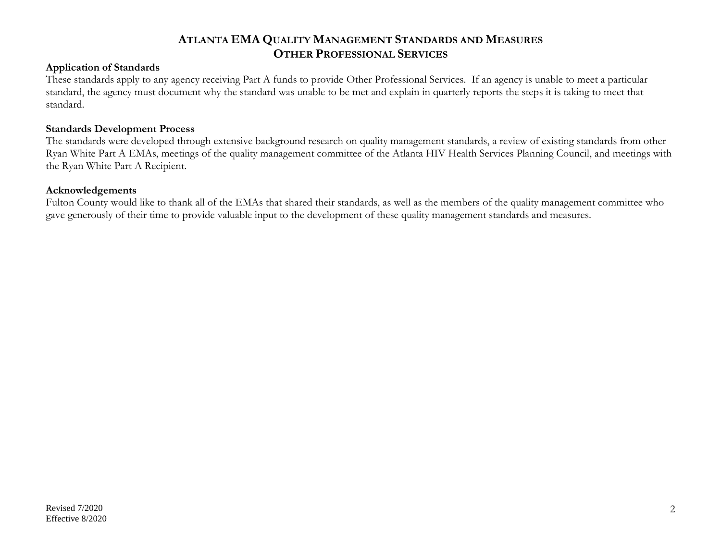#### **Application of Standards**

These standards apply to any agency receiving Part A funds to provide Other Professional Services. If an agency is unable to meet a particular standard, the agency must document why the standard was unable to be met and explain in quarterly reports the steps it is taking to meet that standard.

#### **Standards Development Process**

The standards were developed through extensive background research on quality management standards, a review of existing standards from other Ryan White Part A EMAs, meetings of the quality management committee of the Atlanta HIV Health Services Planning Council, and meetings with the Ryan White Part A Recipient.

#### **Acknowledgements**

Fulton County would like to thank all of the EMAs that shared their standards, as well as the members of the quality management committee who gave generously of their time to provide valuable input to the development of these quality management standards and measures.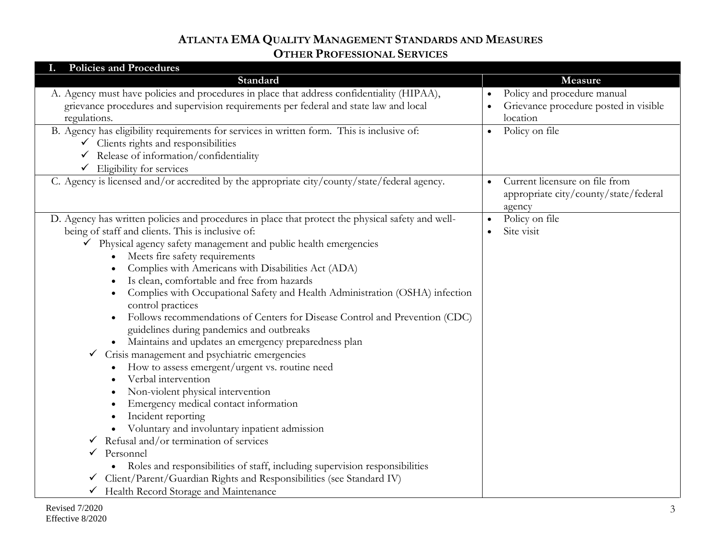| <b>Policies and Procedures</b>                                                                    |                                             |
|---------------------------------------------------------------------------------------------------|---------------------------------------------|
| Standard                                                                                          | Measure                                     |
| A. Agency must have policies and procedures in place that address confidentiality (HIPAA),        | Policy and procedure manual                 |
| grievance procedures and supervision requirements per federal and state law and local             | Grievance procedure posted in visible       |
| regulations.                                                                                      | location                                    |
| B. Agency has eligibility requirements for services in written form. This is inclusive of:        | Policy on file<br>$\bullet$                 |
| $\checkmark$ Clients rights and responsibilities                                                  |                                             |
| Release of information/confidentiality<br>✓                                                       |                                             |
| $\checkmark$ Eligibility for services                                                             |                                             |
| C. Agency is licensed and/or accredited by the appropriate city/county/state/federal agency.      | Current licensure on file from<br>$\bullet$ |
|                                                                                                   | appropriate city/county/state/federal       |
| D. Agency has written policies and procedures in place that protect the physical safety and well- | agency<br>Policy on file                    |
| being of staff and clients. This is inclusive of:                                                 | $\bullet$<br>Site visit                     |
| $\checkmark$ Physical agency safety management and public health emergencies                      |                                             |
| Meets fire safety requirements                                                                    |                                             |
| Complies with Americans with Disabilities Act (ADA)                                               |                                             |
| Is clean, comfortable and free from hazards                                                       |                                             |
| Complies with Occupational Safety and Health Administration (OSHA) infection                      |                                             |
| control practices                                                                                 |                                             |
| Follows recommendations of Centers for Disease Control and Prevention (CDC)                       |                                             |
| guidelines during pandemics and outbreaks                                                         |                                             |
| · Maintains and updates an emergency preparedness plan                                            |                                             |
| Crisis management and psychiatric emergencies<br>$\checkmark$                                     |                                             |
| How to assess emergent/urgent vs. routine need                                                    |                                             |
| Verbal intervention                                                                               |                                             |
| Non-violent physical intervention                                                                 |                                             |
| Emergency medical contact information                                                             |                                             |
| Incident reporting                                                                                |                                             |
| Voluntary and involuntary inpatient admission                                                     |                                             |
| Refusal and/or termination of services<br>✔                                                       |                                             |
| Personnel<br>✓                                                                                    |                                             |
| • Roles and responsibilities of staff, including supervision responsibilities                     |                                             |
| Client/Parent/Guardian Rights and Responsibilities (see Standard IV)<br>✓                         |                                             |
| Health Record Storage and Maintenance                                                             |                                             |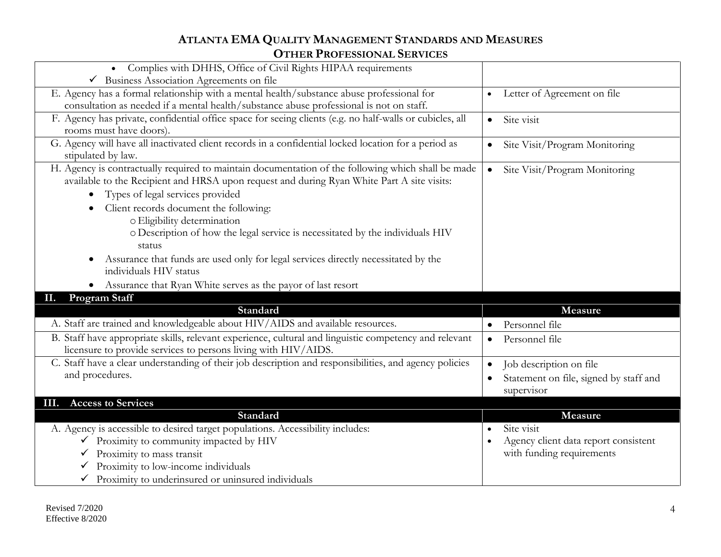| Complies with DHHS, Office of Civil Rights HIPAA requirements                                            |                                            |
|----------------------------------------------------------------------------------------------------------|--------------------------------------------|
| Business Association Agreements on file                                                                  |                                            |
| E. Agency has a formal relationship with a mental health/substance abuse professional for                | Letter of Agreement on file<br>$\bullet$   |
| consultation as needed if a mental health/substance abuse professional is not on staff.                  |                                            |
| F. Agency has private, confidential office space for seeing clients (e.g. no half-walls or cubicles, all | Site visit<br>$\bullet$                    |
| rooms must have doors).                                                                                  |                                            |
| G. Agency will have all inactivated client records in a confidential locked location for a period as     | Site Visit/Program Monitoring<br>$\bullet$ |
| stipulated by law.                                                                                       |                                            |
| H. Agency is contractually required to maintain documentation of the following which shall be made       | Site Visit/Program Monitoring<br>$\bullet$ |
| available to the Recipient and HRSA upon request and during Ryan White Part A site visits:               |                                            |
| Types of legal services provided<br>$\bullet$                                                            |                                            |
| Client records document the following:                                                                   |                                            |
| o Eligibility determination                                                                              |                                            |
| o Description of how the legal service is necessitated by the individuals HIV                            |                                            |
| status                                                                                                   |                                            |
| Assurance that funds are used only for legal services directly necessitated by the                       |                                            |
| individuals HIV status                                                                                   |                                            |
| • Assurance that Ryan White serves as the payor of last resort                                           |                                            |
| <b>Program Staff</b><br>II.                                                                              |                                            |
| <b>Standard</b>                                                                                          | Measure                                    |
| A. Staff are trained and knowledgeable about HIV/AIDS and available resources.                           | Personnel file<br>$\bullet$                |
| B. Staff have appropriate skills, relevant experience, cultural and linguistic competency and relevant   | Personnel file<br>$\bullet$                |
| licensure to provide services to persons living with HIV/AIDS.                                           |                                            |
| C. Staff have a clear understanding of their job description and responsibilities, and agency policies   | Job description on file                    |
| and procedures.                                                                                          | Statement on file, signed by staff and     |
|                                                                                                          | supervisor                                 |
| <b>Access to Services</b><br>III.                                                                        |                                            |
| Standard                                                                                                 | Measure                                    |
| A. Agency is accessible to desired target populations. Accessibility includes:                           | Site visit                                 |
| Proximity to community impacted by HIV                                                                   | Agency client data report consistent       |
| Proximity to mass transit<br>✓                                                                           | with funding requirements                  |
| Proximity to low-income individuals                                                                      |                                            |
| Proximity to underinsured or uninsured individuals                                                       |                                            |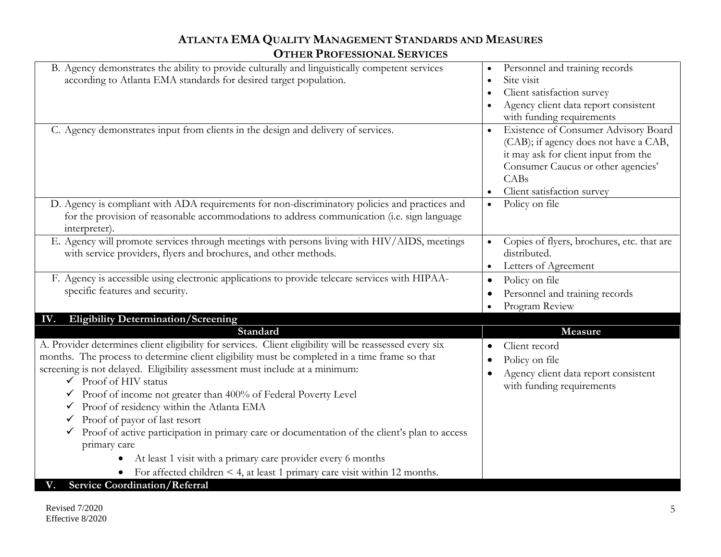| B. Agency demonstrates the ability to provide culturally and linguistically competent services          | Personnel and training records                    |
|---------------------------------------------------------------------------------------------------------|---------------------------------------------------|
| according to Atlanta EMA standards for desired target population.                                       | Site visit                                        |
|                                                                                                         | Client satisfaction survey                        |
|                                                                                                         | Agency client data report consistent              |
|                                                                                                         | with funding requirements                         |
| C. Agency demonstrates input from clients in the design and delivery of services.                       | Existence of Consumer Advisory Board<br>$\bullet$ |
|                                                                                                         | (CAB); if agency does not have a CAB,             |
|                                                                                                         | it may ask for client input from the              |
|                                                                                                         | Consumer Caucus or other agencies'                |
|                                                                                                         | CABs                                              |
|                                                                                                         | Client satisfaction survey                        |
| D. Agency is compliant with ADA requirements for non-discriminatory policies and practices and          | Policy on file<br>$\bullet$                       |
| for the provision of reasonable accommodations to address communication (i.e. sign language             |                                                   |
| interpreter).                                                                                           |                                                   |
| E. Agency will promote services through meetings with persons living with HIV/AIDS, meetings            | Copies of flyers, brochures, etc. that are        |
| with service providers, flyers and brochures, and other methods.                                        | distributed.                                      |
|                                                                                                         | Letters of Agreement                              |
| F. Agency is accessible using electronic applications to provide telecare services with HIPAA-          | Policy on file<br>$\bullet$                       |
| specific features and security.                                                                         | Personnel and training records                    |
|                                                                                                         | Program Review                                    |
| <b>Eligibility Determination/Screening</b><br>IV.                                                       |                                                   |
| Standard                                                                                                | Measure                                           |
| A. Provider determines client eligibility for services. Client eligibility will be reassessed every six | Client record<br>$\bullet$                        |
| months. The process to determine client eligibility must be completed in a time frame so that           | Policy on file<br>٠                               |
| screening is not delayed. Eligibility assessment must include at a minimum:                             | Agency client data report consistent              |
| $\checkmark$ Proof of HIV status                                                                        | with funding requirements                         |
| $\checkmark$ Proof of income not greater than 400% of Federal Poverty Level                             |                                                   |
| Proof of residency within the Atlanta EMA                                                               |                                                   |
| Proof of payor of last resort                                                                           |                                                   |
| Proof of active participation in primary care or documentation of the client's plan to access<br>✓      |                                                   |
| primary care                                                                                            |                                                   |
| At least 1 visit with a primary care provider every 6 months                                            |                                                   |
| For affected children $\leq 4$ , at least 1 primary care visit within 12 months.                        |                                                   |
| <b>Service Coordination/Referral</b>                                                                    |                                                   |